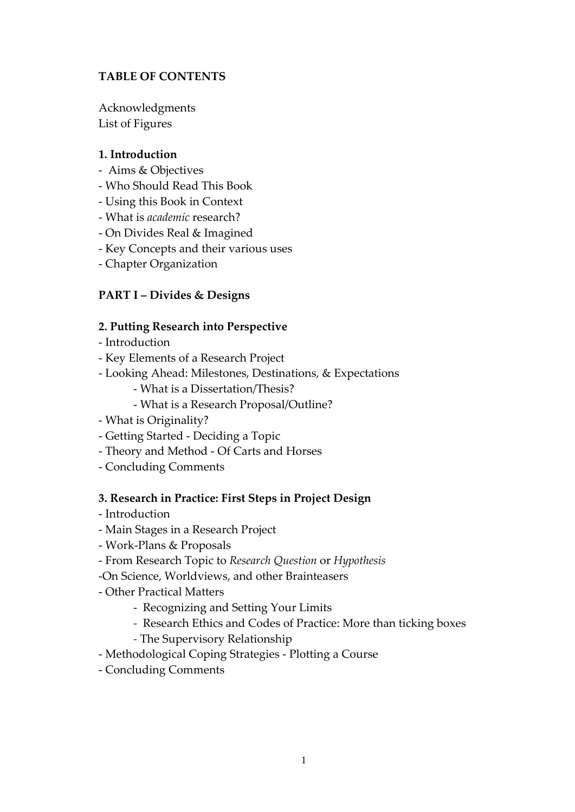# **TABLE OF CONTENTS**

Acknowledgments List of Figures

#### **1. Introduction**

- ‐ Aims & Objectives
- ‐ Who Should Read This Book
- ‐ Using this Book in Context
- ‐ What is *academic* research?
- ‐ On Divides Real & Imagined
- ‐ Key Concepts and their various uses
- ‐ Chapter Organization

# **PART I – Divides & Designs**

### **2. Putting Research into Perspective**

- ‐ Introduction
- ‐ Key Elements of a Research Project
- ‐ Looking Ahead: Milestones, Destinations, & Expectations
	- ‐ What is a Dissertation/Thesis?
	- ‐ What is a Research Proposal/Outline?
- ‐ What is Originality?
- ‐ Getting Started ‐ Deciding a Topic
- ‐ Theory and Method ‐ Of Carts and Horses
- ‐ Concluding Comments

#### **3. Research in Practice: First Steps in Project Design**

- ‐ Introduction
- ‐ Main Stages in a Research Project
- ‐ Work‐Plans & Proposals
- ‐ From Research Topic to *Research Question* or *Hypothesis*
- ‐On Science, Worldviews, and other Brainteasers
- ‐ Other Practical Matters
	- ‐ Recognizing and Setting Your Limits
	- *‐* Research Ethics and Codes of Practice: More than ticking boxes
	- *‐* The Supervisory Relationship
- ‐ Methodological Coping Strategies ‐ Plotting a Course
- ‐ Concluding Comments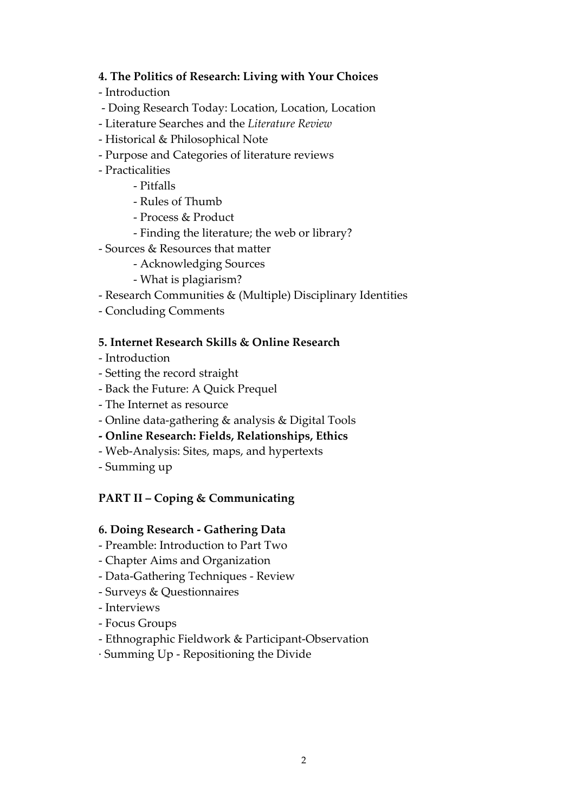### **4. The Politics of Research: Living with Your Choices**

- ‐ Introduction
- ‐ Doing Research Today: Location, Location, Location
- ‐ Literature Searches and the *Literature Review*
- ‐ Historical & Philosophical Note
- ‐ Purpose and Categories of literature reviews
- ‐ Practicalities
	- ‐ Pitfalls
	- ‐ Rules of Thumb
	- ‐ Process & Product
	- ‐ Finding the literature; the web or library?
- ‐ Sources & Resources that matter
	- ‐ Acknowledging Sources
	- ‐ What is plagiarism?
- ‐ Research Communities & (Multiple) Disciplinary Identities
- ‐ Concluding Comments

#### **5. Internet Research Skills & Online Research**

- ‐ Introduction
- ‐ Setting the record straight
- ‐ Back the Future: A Quick Prequel
- ‐ The Internet as resource
- ‐ Online data‐gathering & analysis & Digital Tools
- **‐ Online Research: Fields, Relationships, Ethics**
- ‐ Web‐Analysis: Sites, maps, and hypertexts
- ‐ Summing up

# **PART II – Coping & Communicating**

#### **6. Doing Research ‐ Gathering Data**

- ‐ Preamble: Introduction to Part Two
- ‐ Chapter Aims and Organization
- ‐ Data‐Gathering Techniques ‐ Review
- ‐ Surveys & Questionnaires
- ‐ Interviews
- ‐ Focus Groups
- ‐ Ethnographic Fieldwork & Participant‐Observation
- ∙ Summing Up ‐ Repositioning the Divide